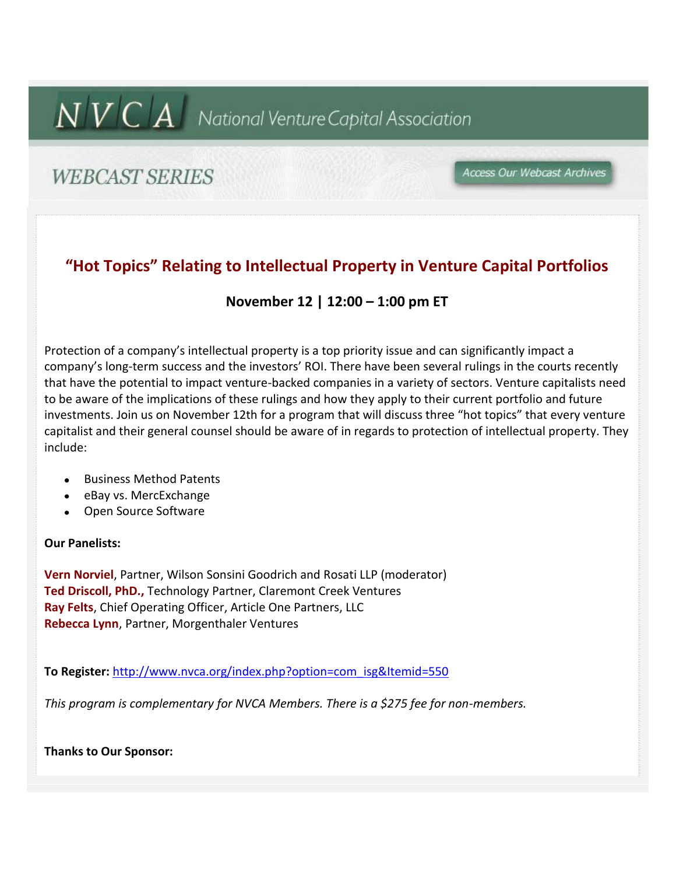# $N$   $V$   $C$   $A$  National Venture Capital Association

# **WEBCAST SERIES**

Access Our Webcast Archives

### **"Hot Topics" Relating to Intellectual Property in Venture Capital Portfolios**

#### **November 12 | 12:00 – 1:00 pm ET**

Protection of a company's intellectual property is a top priority issue and can significantly impact a company's long-term success and the investors' ROI. There have been several rulings in the courts recently that have the potential to impact venture-backed companies in a variety of sectors. Venture capitalists need to be aware of the implications of these rulings and how they apply to their current portfolio and future investments. Join us on November 12th for a program that will discuss three "hot topics" that every venture capitalist and their general counsel should be aware of in regards to protection of intellectual property. They include:

- Business Method Patents
- eBay vs. MercExchange
- Open Source Software

#### **Our Panelists:**

**Vern Norviel**, Partner, Wilson Sonsini Goodrich and Rosati LLP (moderator) **Ted Driscoll, PhD.,** Technology Partner, Claremont Creek Ventures **Ray Felts**, Chief Operating Officer, Article One Partners, LLC **Rebecca Lynn**, Partner, Morgenthaler Ventures

**To Register:** http://www.nvca.org/index.php?option=com\_isg&Itemid=550

*This program is complementary for NVCA Members. There is a \$275 fee for non-members.*

**Thanks to Our Sponsor:**